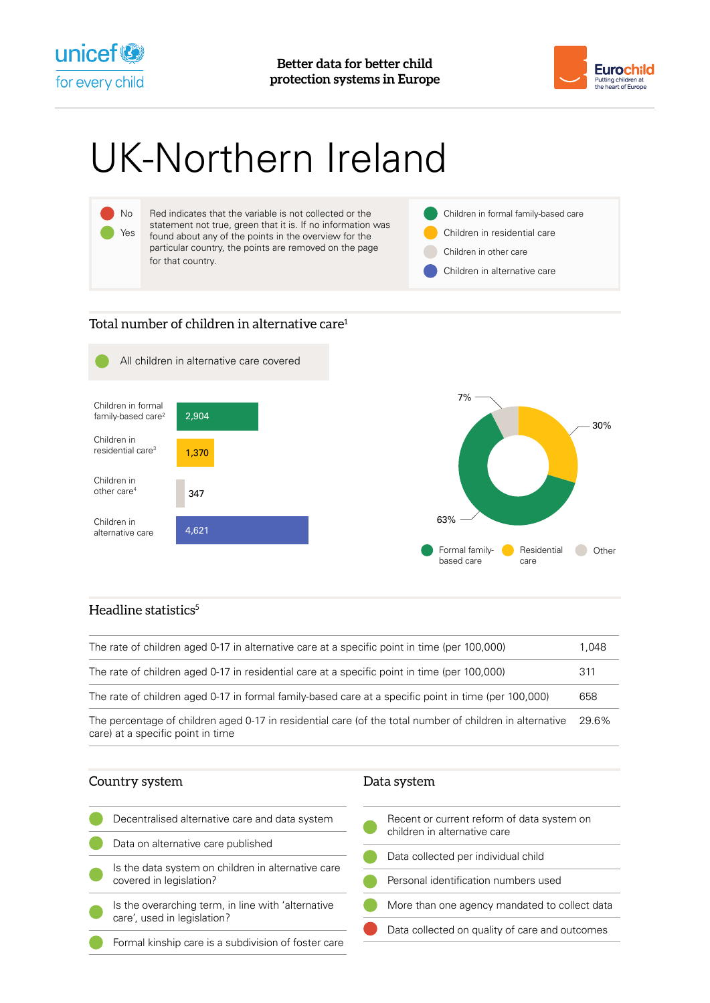



# UK-Northern Ireland



## Total number of children in alternative care<sup>1</sup>



### Headline statistics $5$

| The rate of children aged 0-17 in alternative care at a specific point in time (per 100,000)                                                  | 1,048 |
|-----------------------------------------------------------------------------------------------------------------------------------------------|-------|
| The rate of children aged 0-17 in residential care at a specific point in time (per 100,000)                                                  | 311   |
| The rate of children aged 0-17 in formal family-based care at a specific point in time (per 100,000)                                          | 658   |
| The percentage of children aged 0-17 in residential care (of the total number of children in alternative<br>care) at a specific point in time | 29.6% |

| Country system                                                                    | Data system                                                                |
|-----------------------------------------------------------------------------------|----------------------------------------------------------------------------|
| Decentralised alternative care and data system                                    | Recent or current reform of data system on<br>children in alternative care |
| Data on alternative care published                                                | Data collected per individual child                                        |
| Is the data system on children in alternative care<br>covered in legislation?     | Personal identification numbers used                                       |
| Is the overarching term, in line with 'alternative<br>care', used in legislation? | More than one agency mandated to collect data                              |
| Formal kinship care is a subdivision of foster care                               | Data collected on quality of care and outcomes                             |